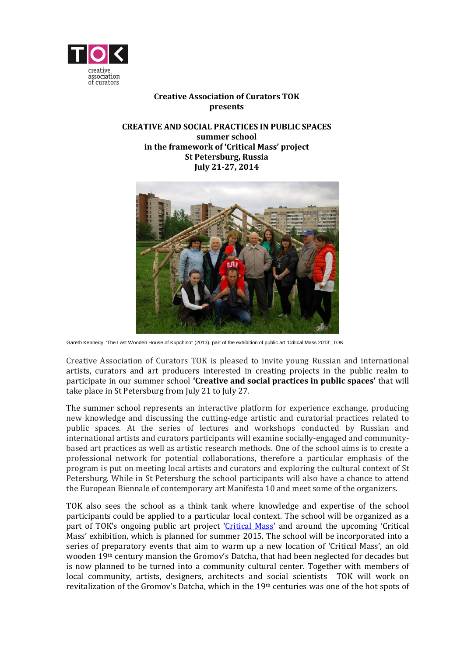

# **Creative Association of Curators TOK presents**

#### **CREATIVE AND SOCIAL PRACTICES IN PUBLIC SPACES summer school in the framework of 'Critical Mass' project St Petersburg, Russia July 21-27, 2014**



Gareth Kennedy, 'The Last Wooden House of Kupchino" (2013), part of the exhibition of public art 'Critical Mass 2013', TOK

Creative Association of Curators TOK is pleased to invite young Russian and international artists, curators and art producers interested in creating projects in the public realm to participate in our summer school **'Creative and social practices in public spaces'** that will take place in St Petersburg from July 21 to July 27.

The summer school represents an interactive platform for experience exchange, producing new knowledge and discussing the cutting-edge artistic and curatorial practices related to public spaces. At the series of lectures and workshops conducted by Russian and international artists and curators participants will examine socially-engaged and communitybased art practices as well as artistic research methods. One of the school aims is to create a professional network for potential collaborations, therefore a particular emphasis of the program is put on meeting local artists and curators and exploring the cultural context of St Petersburg. While in St Petersburg the school participants will also have a chance to attend the European Biennale of contemporary art Manifesta 10 and meet some of the organizers.

TOK also sees the school as a think tank where knowledge and expertise of the school participants could be applied to a particular local context. The school will be organized as a part of TOK's ongoing public art project '*[Critical Mass](http://tok-spb.org/new/en/projects/critical-mass-2011)'* and around the upcoming 'Critical Mass' exhibition, which is planned for summer 2015. The school will be incorporated into a series of preparatory events that aim to warm up a new location of 'Critical Mass', an old wooden 19th century mansion the Gromov's Datcha, that had been neglected for decades but is now planned to be turned into a community cultural center. Together with members of local community, artists, designers, architects and social scientists TOK will work on revitalization of the Gromov's Datcha, which in the 19<sup>th</sup> centuries was one of the hot spots of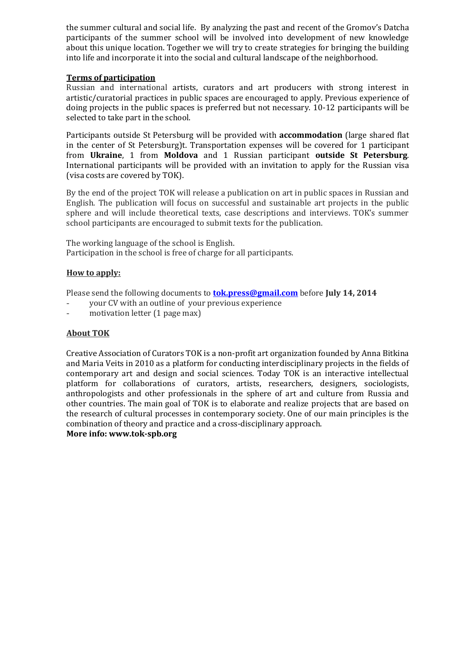the summer cultural and social life. By analyzing the past and recent of the Gromov's Datcha participants of the summer school will be involved into development of new knowledge about this unique location. Together we will try to create strategies for bringing the building into life and incorporate it into the social and cultural landscape of the neighborhood.

## **Terms of participation**

Russian and international artists, curators and art producers with strong interest in artistic/curatorial practices in public spaces are encouraged to apply. Previous experience of doing projects in the public spaces is preferred but not necessary. 10-12 participants will be selected to take part in the school.

Participants outside St Petersburg will be provided with **accommodation** (large shared flat in the center of St Petersburg)t. Transportation expenses will be covered for 1 participant from **Ukraine**, 1 from **Moldova** and 1 Russian participant **outside St Petersburg**. International participants will be provided with an invitation to apply for the Russian visa (visa costs are covered by TOK).

By the end of the project TOK will release a publication on art in public spaces in Russian and English. The publication will focus on successful and sustainable art projects in the public sphere and will include theoretical texts, case descriptions and interviews. TOK's summer school participants are encouraged to submit texts for the publication.

The working language of the school is English. Participation in the school is free of charge for all participants.

## **How to apply:**

Please send the following documents to **[tok.press@gmail.com](mailto:tok.press@gmail.com)** before **July 14, 2014**

- your CV with an outline of your previous experience
- motivation letter (1 page max)

## **About TOK**

Creative Association of Curators TOK is a non-profit art organization founded by Anna Bitkina and Maria Veits in 2010 as a platform for conducting interdisciplinary projects in the fields of contemporary art and design and social sciences. Today TOK is an interactive intellectual platform for collaborations of curators, artists, researchers, designers, sociologists, anthropologists and other professionals in the sphere of art and culture from Russia and other countries. The main goal of TOK is to elaborate and realize projects that are based on the research of cultural processes in contemporary society. One of our main principles is the combination of theory and practice and a cross-disciplinary approach.

#### **More info: www.tok-spb.org**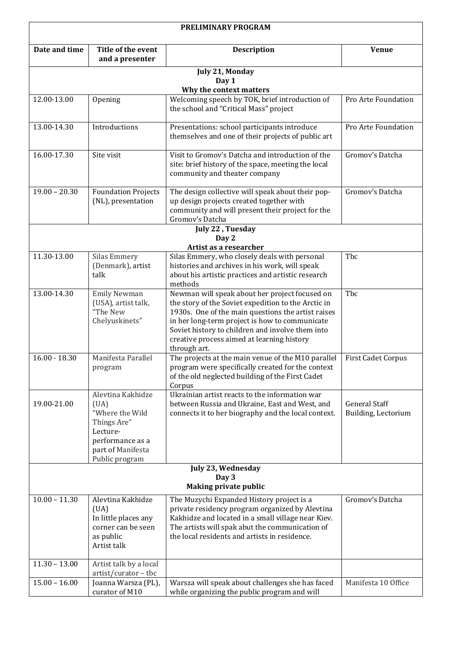| PRELIMINARY PROGRAM                   |                                                                                                                                    |                                                                                                                                                                                                                                                                                                                                 |                                             |  |  |
|---------------------------------------|------------------------------------------------------------------------------------------------------------------------------------|---------------------------------------------------------------------------------------------------------------------------------------------------------------------------------------------------------------------------------------------------------------------------------------------------------------------------------|---------------------------------------------|--|--|
| Date and time                         | Title of the event<br>and a presenter                                                                                              | <b>Description</b>                                                                                                                                                                                                                                                                                                              | <b>Venue</b>                                |  |  |
| July 21, Monday                       |                                                                                                                                    |                                                                                                                                                                                                                                                                                                                                 |                                             |  |  |
| Day 1<br>Why the context matters      |                                                                                                                                    |                                                                                                                                                                                                                                                                                                                                 |                                             |  |  |
| 12.00-13.00                           | Opening                                                                                                                            | Welcoming speech by TOK, brief introduction of<br>the school and "Critical Mass" project                                                                                                                                                                                                                                        | Pro Arte Foundation                         |  |  |
| 13.00-14.30                           | Introductions                                                                                                                      | Presentations: school participants introduce<br>themselves and one of their projects of public art                                                                                                                                                                                                                              | Pro Arte Foundation                         |  |  |
| 16.00-17.30                           | Site visit                                                                                                                         | Visit to Gromov's Datcha and introduction of the<br>site: brief history of the space, meeting the local<br>community and theater company                                                                                                                                                                                        | Gromov's Datcha                             |  |  |
| $19.00 - 20.30$                       | <b>Foundation Projects</b><br>(NL), presentation                                                                                   | The design collective will speak about their pop-<br>up design projects created together with<br>community and will present their project for the<br>Gromov's Datcha                                                                                                                                                            | Gromov's Datcha                             |  |  |
|                                       |                                                                                                                                    | July 22, Tuesday                                                                                                                                                                                                                                                                                                                |                                             |  |  |
| Day 2                                 |                                                                                                                                    |                                                                                                                                                                                                                                                                                                                                 |                                             |  |  |
| 11.30-13.00                           | <b>Silas Emmery</b>                                                                                                                | Artist as a researcher<br>Silas Emmery, who closely deals with personal                                                                                                                                                                                                                                                         | Tbc                                         |  |  |
|                                       | (Denmark), artist<br>talk                                                                                                          | histories and archives in his work, will speak<br>about his artistic practices and artistic research<br>methods                                                                                                                                                                                                                 |                                             |  |  |
| 13.00-14.30                           | <b>Emily Newman</b><br>(USA), artist talk,<br>"The New<br>Chelyuskinets"                                                           | Newman will speak about her project focused on<br>the story of the Soviet expedition to the Arctic in<br>1930s. One of the main questions the artist raises<br>in her long-term project is how to communicate<br>Soviet history to children and involve them into<br>creative process aimed at learning history<br>through art. | Tbc                                         |  |  |
| $16.00 - 18.30$                       | Manifesta Parallel<br>program                                                                                                      | The projects at the main venue of the M10 parallel<br>program were specifically created for the context<br>of the old neglected building of the First Cadet<br>Corpus                                                                                                                                                           | <b>First Cadet Corpus</b>                   |  |  |
| 19.00-21.00                           | Alevtina Kakhidze<br>(UA)<br>"Where the Wild<br>Things Are"<br>Lecture-<br>performance as a<br>part of Manifesta<br>Public program | Ukrainian artist reacts to the information war<br>between Russia and Ukraine, East and West, and<br>connects it to her biography and the local context.                                                                                                                                                                         | <b>General Staff</b><br>Building, Lectorium |  |  |
| July 23, Wednesday                    |                                                                                                                                    |                                                                                                                                                                                                                                                                                                                                 |                                             |  |  |
| Day 3<br><b>Making private public</b> |                                                                                                                                    |                                                                                                                                                                                                                                                                                                                                 |                                             |  |  |
| $10.00 - 11.30$                       | Alevtina Kakhidze<br>(UA)<br>In little places any<br>corner can be seen<br>as public<br>Artist talk                                | The Muzychi Expanded History project is a<br>private residency program organized by Alevtina<br>Kakhidze and located in a small village near Kiev.<br>The artists will spak abut the communication of<br>the local residents and artists in residence.                                                                          | Gromov's Datcha                             |  |  |
| $11.30 - 13.00$                       | Artist talk by a local                                                                                                             |                                                                                                                                                                                                                                                                                                                                 |                                             |  |  |
| $15.00 - 16.00$                       | artist/curator-tbc<br>Joanna Warsza (PL),<br>curator of M10                                                                        | Warsza will speak about challenges she has faced<br>while organizing the public program and will                                                                                                                                                                                                                                | Manifesta 10 Office                         |  |  |